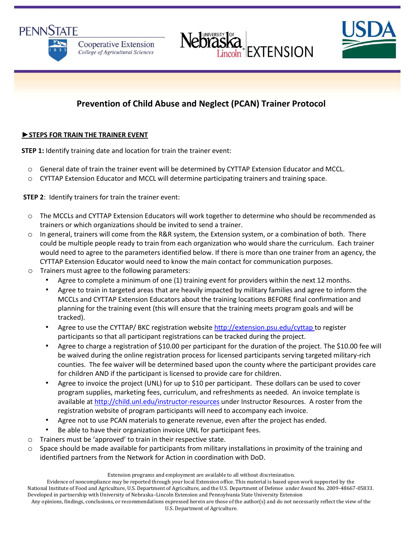





# **Prevention of Child Abuse and Neglect (PCAN) Trainer Protocol**

#### **►STEPS FOR TRAIN THE TRAINER EVENT**

**STEP 1:** Identify training date and location for train the trainer event:

- o General date of train the trainer event will be determined by CYTTAP Extension Educator and MCCL.
- o CYTTAP Extension Educator and MCCL will determine participating trainers and training space.

**STEP 2**: Identify trainers for train the trainer event:

- o The MCCLs and CYTTAP Extension Educators will work together to determine who should be recommended as trainers or which organizations should be invited to send a trainer.
- o In general, trainers will come from the R&R system, the Extension system, or a combination of both. There could be multiple people ready to train from each organization who would share the curriculum. Each trainer would need to agree to the parameters identified below. If there is more than one trainer from an agency, the CYTTAP Extension Educator would need to know the main contact for communication purposes.
- o Trainers must agree to the following parameters:
	- Agree to complete a minimum of one (1) training event for providers within the next 12 months.
	- Agree to train in targeted areas that are heavily impacted by military families and agree to inform the MCCLs and CYTTAP Extension Educators about the training locations BEFORE final confirmation and planning for the training event (this will ensure that the training meets program goals and will be tracked).
	- Agree to use the CYTTAP/ BKC registration website<http://extension.psu.edu/cyttap> to register participants so that all participant registrations can be tracked during the project.
	- Agree to charge a registration of \$10.00 per participant for the duration of the project. The \$10.00 fee will be waived during the online registration process for licensed participants serving targeted military-rich counties. The fee waiver will be determined based upon the county where the participant provides care for children AND if the participant is licensed to provide care for children.
	- Agree to invoice the project (UNL) for up to \$10 per participant. These dollars can be used to cover program supplies, marketing fees, curriculum, and refreshments as needed. An invoice template is available at<http://child.unl.edu/instructor-resources> under Instructor Resources. A roster from the registration website of program participants will need to accompany each invoice.
	- Agree not to use PCAN materials to generate revenue, even after the project has ended.
	- Be able to have their organization invoice UNL for participant fees.
- o Trainers must be 'approved' to train in their respective state.
- o Space should be made available for participants from military installations in proximity of the training and identified partners from the Network for Action in coordination with DoD.

Extension programs and employment are available to all without discrimination.

Evidence of noncompliance may be reported through your local Extension office. This material is based upon work supported by the National Institute of Food and Agriculture, U.S. Department of Agriculture, and the U.S. Department of Defense under Award No. 2009-48667-05833. Developed in partnership with University of Nebraska–Lincoln Extension and Pennsylvania State University Extension

```
Any opinions, findings, conclusions, or recommendations expressed herein are those of the author(s) and do not necessarily reflect the view of the 
                                             U.S. Department of Agriculture.
```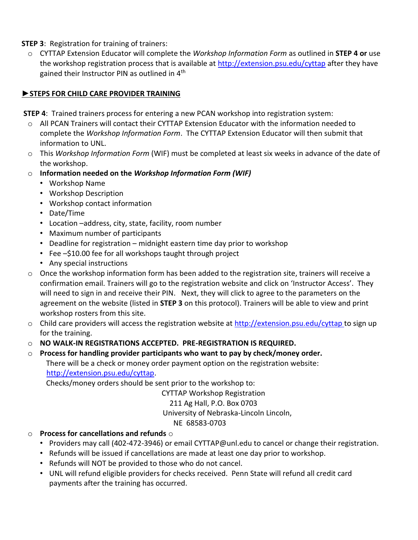**STEP 3**: Registration for training of trainers:

o CYTTAP Extension Educator will complete the *Workshop Information Form* as outlined in **STEP 4 or** use the workshop registration process that is available at<http://extension.psu.edu/cyttap> [a](http://extension.psu.edu/cyttap)fter they have gained their Instructor PIN as outlined in 4<sup>th</sup>

# **►STEPS FOR CHILD CARE PROVIDER TRAINING**

**STEP 4**: Trained trainers process for entering a new PCAN workshop into registration system:

- o All PCAN Trainers will contact their CYTTAP Extension Educator with the information needed to complete the *Workshop Information Form*. The CYTTAP Extension Educator will then submit that information to UNL.
- o This *Workshop Information Form* (WIF) must be completed at least six weeks in advance of the date of the workshop.
- o **Information needed on the** *Workshop Information Form (WIF)*
	- Workshop Name
	- Workshop Description
	- Workshop contact information
	- Date/Time
	- Location –address, city, state, facility, room number
	- Maximum number of participants
	- Deadline for registration midnight eastern time day prior to workshop
	- Fee -\$10.00 fee for all workshops taught through project
	- Any special instructions
- o Once the workshop information form has been added to the registration site, trainers will receive a confirmation email. Trainers will go to the registration website and click on 'Instructor Access'. They will need to sign in and receive their PIN. Next, they will click to agree to the parameters on the agreement on the website (listed in **STEP 3** on this protocol). Trainers will be able to view and print workshop rosters from this site.
- o Child care providers will access the registration website at <http://extension.psu.edu/cyttap> to sign up for the training.
- o **NO WALK-IN REGISTRATIONS ACCEPTED. PRE-REGISTRATION IS REQUIRED.**

o **Process for handling provider participants who want to pay by check/money order.**  There will be a check or money order payment option on the registration website: [http://extension.psu.edu/cyttap.](http://extension.psu.edu/cyttap) 

Checks/money orders should be sent prior to the workshop to:

CYTTAP Workshop Registration

211 Ag Hall, P.O. Box 0703

University of Nebraska-Lincoln Lincoln,

# NE 68583-0703

# o **Process for cancellations and refunds** o

- Providers may call (402-472-3946) or email CYTTAP@unl.edu to cancel or change their registration.
- Refunds will be issued if cancellations are made at least one day prior to workshop.
- Refunds will NOT be provided to those who do not cancel.
- UNL will refund eligible providers for checks received. Penn State will refund all credit card payments after the training has occurred.